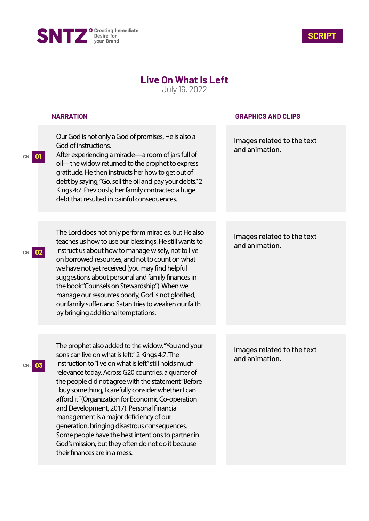



## **Live On What Is Left**

July 16, 2022

|                       | <b>NARRATION</b>                                                                                                                                                                                                                                                                                                                                                                                                                                                                                                                                                                                                                                                                   | <b>GRAPHICS AND CLIPS</b>                    |
|-----------------------|------------------------------------------------------------------------------------------------------------------------------------------------------------------------------------------------------------------------------------------------------------------------------------------------------------------------------------------------------------------------------------------------------------------------------------------------------------------------------------------------------------------------------------------------------------------------------------------------------------------------------------------------------------------------------------|----------------------------------------------|
| $\overline{0}$<br>CN. | Our God is not only a God of promises, He is also a<br>God of instructions.<br>After experiencing a miracle-a room of jars full of<br>oil—the widow returned to the prophet to express<br>gratitude. He then instructs her how to get out of<br>debt by saying, "Go, sell the oil and pay your debts." 2<br>Kings 4:7. Previously, her family contracted a huge<br>debt that resulted in painful consequences.                                                                                                                                                                                                                                                                     | Images related to the text<br>and animation. |
|                       |                                                                                                                                                                                                                                                                                                                                                                                                                                                                                                                                                                                                                                                                                    |                                              |
| CN.                   | The Lord does not only perform miracles, but He also<br>teaches us how to use our blessings. He still wants to<br>instruct us about how to manage wisely, not to live<br>on borrowed resources, and not to count on what<br>we have not yet received (you may find helpful<br>suggestions about personal and family finances in<br>the book "Counsels on Stewardship"). When we<br>manage our resources poorly, God is not glorified,<br>our family suffer, and Satan tries to weaken our faith<br>by bringing additional temptations.                                                                                                                                             | Images related to the text<br>and animation. |
|                       |                                                                                                                                                                                                                                                                                                                                                                                                                                                                                                                                                                                                                                                                                    |                                              |
| 03<br>CN.             | The prophet also added to the widow, "You and your<br>sons can live on what is left." 2 Kings 4:7. The<br>instruction to "live on what is left" still holds much<br>relevance today. Across G20 countries, a quarter of<br>the people did not agree with the statement "Before<br>I buy something, I carefully consider whether I can<br>afford it" (Organization for Economic Co-operation<br>and Development, 2017). Personal financial<br>management is a major deficiency of our<br>generation, bringing disastrous consequences.<br>Some people have the best intentions to partner in<br>God's mission, but they often do not do it because<br>their finances are in a mess. | Images related to the text<br>and animation. |